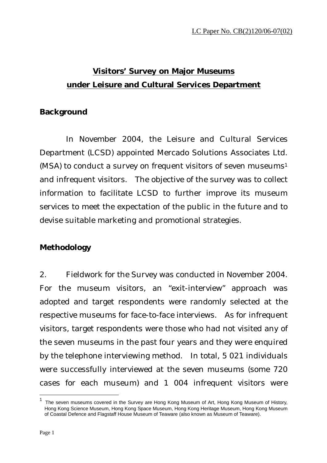# **Visitors' Survey on Major Museums under Leisure and Cultural Services Department**

### **Background**

 In November 2004, the Leisure and Cultural Services Department (LCSD) appointed Mercado Solutions Associates Ltd. (MSA) to conduct a survey on frequent visitors of seven museums<sup>1</sup> and infrequent visitors. The objective of the survey was to collect information to facilitate LCSD to further improve its museum services to meet the expectation of the public in the future and to devise suitable marketing and promotional strategies.

## **Methodology**

2. Fieldwork for the Survey was conducted in November 2004. For the museum visitors, an "exit-interview" approach was adopted and target respondents were randomly selected at the respective museums for face-to-face interviews. As for infrequent visitors, target respondents were those who had not visited any of the seven museums in the past four years and they were enquired by the telephone interviewing method. In total, 5 021 individuals were successfully interviewed at the seven museums (some 720 cases for each museum) and 1 004 infrequent visitors were

 $\overline{a}$ 

The seven museums covered in the Survey are Hong Kong Museum of Art, Hong Kong Museum of History, Hong Kong Science Museum, Hong Kong Space Museum, Hong Kong Heritage Museum, Hong Kong Museum of Coastal Defence and Flagstaff House Museum of Teaware (also known as Museum of Teaware).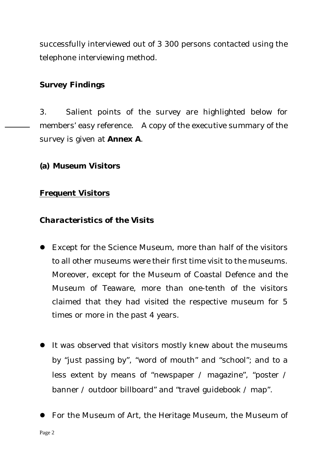successfully interviewed out of 3 300 persons contacted using the telephone interviewing method.

### **Survey Findings**

3. Salient points of the survey are highlighted below for members' easy reference. A copy of the executive summary of the survey is given at **Annex A**.

### **(a) Museum Visitors**

### **Frequent Visitors**

### *Characteristics of the Visits*

- Except for the Science Museum, more than half of the visitors to all other museums were their first time visit to the museums. Moreover, except for the Museum of Coastal Defence and the Museum of Teaware, more than one-tenth of the visitors claimed that they had visited the respective museum for 5 times or more in the past 4 years.
- It was observed that visitors mostly knew about the museums by "just passing by", "word of mouth" and "school"; and to a less extent by means of "newspaper / magazine", "poster / banner / outdoor billboard" and "travel guidebook / map".
- For the Museum of Art, the Heritage Museum, the Museum of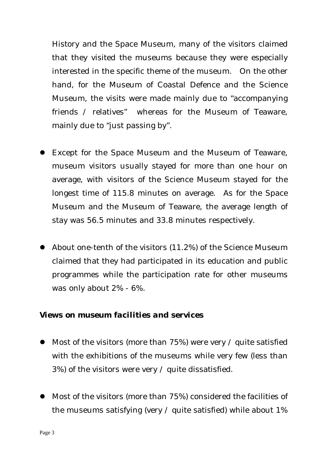History and the Space Museum, many of the visitors claimed that they visited the museums because they were especially interested in the specific theme of the museum. On the other hand, for the Museum of Coastal Defence and the Science Museum, the visits were made mainly due to "accompanying friends / relatives" whereas for the Museum of Teaware, mainly due to "just passing by".

- **Except for the Space Museum and the Museum of Teaware,** museum visitors usually stayed for more than one hour on average, with visitors of the Science Museum stayed for the longest time of 115.8 minutes on average. As for the Space Museum and the Museum of Teaware, the average length of stay was 56.5 minutes and 33.8 minutes respectively.
- $\bullet$  About one-tenth of the visitors (11.2%) of the Science Museum claimed that they had participated in its education and public programmes while the participation rate for other museums was only about 2% - 6%.

### *Views on museum facilities and services*

- $\bullet$  Most of the visitors (more than 75%) were very / quite satisfied with the exhibitions of the museums while very few (less than 3%) of the visitors were very / quite dissatisfied.
- Most of the visitors (more than 75%) considered the facilities of the museums satisfying (very  $\prime$  quite satisfied) while about 1%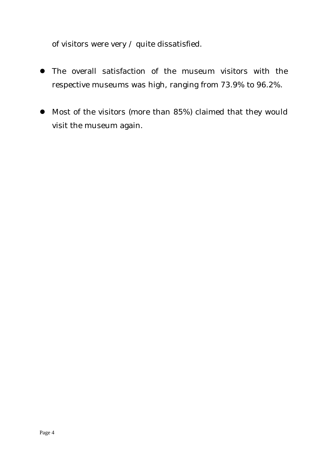of visitors were very  $\prime$  quite dissatisfied.

- The overall satisfaction of the museum visitors with the respective museums was high, ranging from 73.9% to 96.2%.
- Most of the visitors (more than 85%) claimed that they would visit the museum again.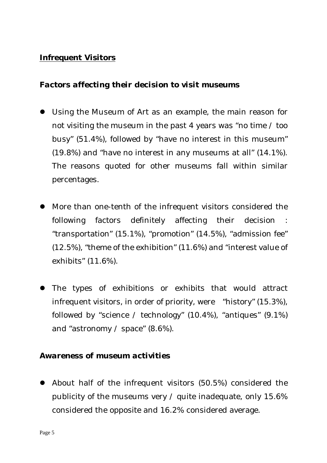### **Infrequent Visitors**

### *Factors affecting their decision to visit museums*

- Using the Museum of Art as an example, the main reason for not visiting the museum in the past 4 years was "no time / too busy" (51.4%), followed by "have no interest in this museum" (19.8%) and "have no interest in any museums at all" (14.1%). The reasons quoted for other museums fall within similar percentages.
- More than one-tenth of the infrequent visitors considered the following factors definitely affecting their decision "transportation" (15.1%), "promotion" (14.5%), "admission fee" (12.5%), "theme of the exhibition" (11.6%) and "interest value of exhibits" (11.6%).
- The types of exhibitions or exhibits that would attract infrequent visitors, in order of priority, were "history" (15.3%), followed by "science / technology"  $(10.4\%)$ , "antiques"  $(9.1\%)$ and "astronomy / space" (8.6%).

### *Awareness of museum activities*

 $\bullet$  About half of the infrequent visitors (50.5%) considered the publicity of the museums very / quite inadequate, only 15.6% considered the opposite and 16.2% considered average.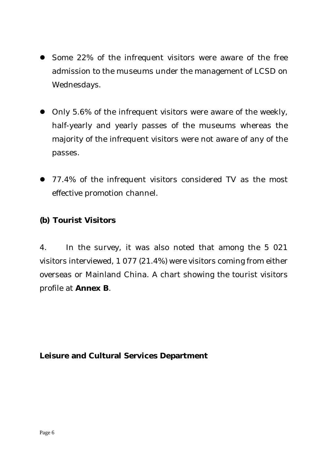- Some 22% of the infrequent visitors were aware of the free admission to the museums under the management of LCSD on Wednesdays.
- Only 5.6% of the infrequent visitors were aware of the weekly, half-yearly and yearly passes of the museums whereas the majority of the infrequent visitors were not aware of any of the passes.
- 77.4% of the infrequent visitors considered TV as the most effective promotion channel.

### **(b) Tourist Visitors**

4. In the survey, it was also noted that among the 5 021 visitors interviewed, 1 077 (21.4%) were visitors coming from either overseas or Mainland China. A chart showing the tourist visitors profile at **Annex B**.

### **Leisure and Cultural Services Department**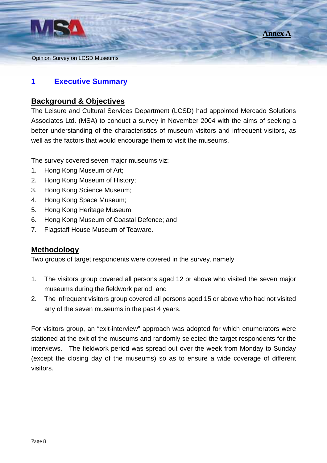



### **1 Executive Summary**

### **Background & Objectives**

The Leisure and Cultural Services Department (LCSD) had appointed Mercado Solutions Associates Ltd. (MSA) to conduct a survey in November 2004 with the aims of seeking a better understanding of the characteristics of museum visitors and infrequent visitors, as well as the factors that would encourage them to visit the museums.

The survey covered seven major museums viz:

- 1. Hong Kong Museum of Art;
- 2. Hong Kong Museum of History;
- 3. Hong Kong Science Museum;
- 4. Hong Kong Space Museum;
- 5. Hong Kong Heritage Museum;
- 6. Hong Kong Museum of Coastal Defence; and
- 7. Flagstaff House Museum of Teaware.

### **Methodology**

Two groups of target respondents were covered in the survey, namely

- 1. The visitors group covered all persons aged 12 or above who visited the seven major museums during the fieldwork period; and
- 2. The infrequent visitors group covered all persons aged 15 or above who had not visited any of the seven museums in the past 4 years.

For visitors group, an "exit-interview" approach was adopted for which enumerators were stationed at the exit of the museums and randomly selected the target respondents for the interviews. The fieldwork period was spread out over the week from Monday to Sunday (except the closing day of the museums) so as to ensure a wide coverage of different visitors.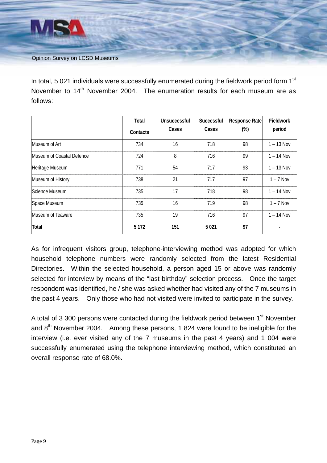

In total, 5 021 individuals were successfully enumerated during the fieldwork period form 1<sup>st</sup> November to 14<sup>th</sup> November 2004. The enumeration results for each museum are as follows:

|                           | Total    | Unsuccessful | Successful | <b>Response Rate</b> | <b>Fieldwork</b> |
|---------------------------|----------|--------------|------------|----------------------|------------------|
|                           | Contacts | Cases        | Cases      | $(\%)$               | period           |
| Museum of Art             | 734      | 16           | 718        | 98                   | $1 - 13$ Nov     |
| Museum of Coastal Defence | 724      | 8            | 716        | 99                   | $1 - 14$ Nov     |
| Heritage Museum           | 771      | 54           | 717        | 93                   | $1 - 13$ Nov     |
| Museum of History         | 738      | 21           | 717        | 97                   | $1 - 7$ Nov      |
| Science Museum            | 735      | 17           | 718        | 98                   | $1 - 14$ Nov     |
| Space Museum              | 735      | 16           | 719        | 98                   | $1 - 7$ Nov      |
| <b>Museum of Teaware</b>  | 735      | 19           | 716        | 97                   | $1 - 14$ Nov     |
| <b>Total</b>              | 5 1 7 2  | 151          | 5021       | 97                   |                  |

As for infrequent visitors group, telephone-interviewing method was adopted for which household telephone numbers were randomly selected from the latest Residential Directories. Within the selected household, a person aged 15 or above was randomly selected for interview by means of the "last birthday" selection process. Once the target respondent was identified, he / she was asked whether had visited any of the 7 museums in the past 4 years. Only those who had not visited were invited to participate in the survey.

A total of 3 300 persons were contacted during the fieldwork period between 1<sup>st</sup> November and  $8<sup>th</sup>$  November 2004. Among these persons, 1 824 were found to be ineligible for the interview (i.e. ever visited any of the 7 museums in the past 4 years) and 1 004 were successfully enumerated using the telephone interviewing method, which constituted an overall response rate of 68.0%.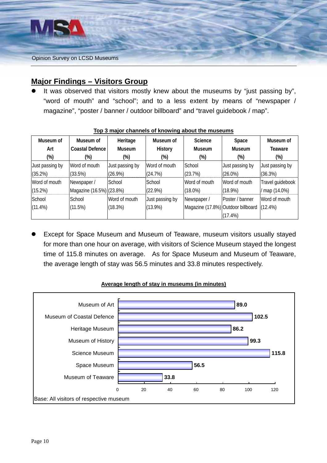

### **Major Findings – Visitors Group**

It was observed that visitors mostly knew about the museums by "just passing by", "word of mouth" and "school"; and to a less extent by means of "newspaper / magazine", "poster / banner / outdoor billboard" and "travel guidebook / map".

| Museum of       | Museum of                | Heritage        | Museum of       | <b>Science</b>                     | Space           | Museum of        |
|-----------------|--------------------------|-----------------|-----------------|------------------------------------|-----------------|------------------|
| Art             | <b>Coastal Defence</b>   | <b>Museum</b>   | History         | <b>Museum</b>                      | <b>Museum</b>   | Teaware          |
| (%)             | (%)                      | $(\%)$          | (%)             | (%)                                | $(\%)$          | (%)              |
| Just passing by | Word of mouth            | Just passing by | Word of mouth   | School                             | Just passing by | Just passing by  |
| (35.2%)         | (33.5%)                  | $(26.9\%)$      | (24.7%)         | (23.7%)                            | $(26.0\%)$      | (36.3%)          |
| Word of mouth   | Newspaper /              | School          | School          | Word of mouth                      | Word of mouth   | Travel guidebook |
| (15.2%)         | Magazine (16.5%) (23.8%) |                 | $(22.9\%)$      | $(18.0\%)$                         | $(18.9\%)$      | / map (14.0%)    |
| School          | School                   | Word of mouth   | Just passing by | Newspaper /                        | Poster / banner | Word of mouth    |
| $(11.4\%)$      | (11.5%)                  | (18.3%)         | $(13.9\%)$      | Magazine (17.8%) Outdoor billboard |                 | $(12.4\%)$       |
|                 |                          |                 |                 |                                    | $(17.4\%)$      |                  |

#### **Top 3 major channels of knowing about the museums**

Except for Space Museum and Museum of Teaware, museum visitors usually stayed for more than one hour on average, with visitors of Science Museum stayed the longest time of 115.8 minutes on average. As for Space Museum and Museum of Teaware, the average length of stay was 56.5 minutes and 33.8 minutes respectively.



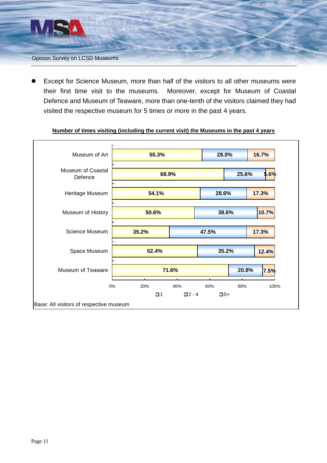

Except for Science Museum, more than half of the visitors to all other museums were their first time visit to the museums. Moreover, except for Museum of Coastal Defence and Museum of Teaware, more than one-tenth of the visitors claimed they had visited the respective museum for 5 times or more in the past 4 years.



#### **Number of times visiting (including the current visit) the Museums in the past 4 years**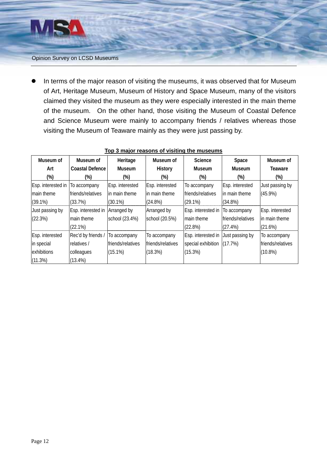

In terms of the major reason of visiting the museums, it was observed that for Museum of Art, Heritage Museum, Museum of History and Space Museum, many of the visitors claimed they visited the museum as they were especially interested in the main theme of the museum. On the other hand, those visiting the Museum of Coastal Defence and Science Museum were mainly to accompany friends / relatives whereas those visiting the Museum of Teaware mainly as they were just passing by.

| Museum of          | Museum of              | Heritage          | Museum of         | Science                    | Space             | Museum of         |
|--------------------|------------------------|-------------------|-------------------|----------------------------|-------------------|-------------------|
| Art                | <b>Coastal Defence</b> | <b>Museum</b>     | History           | <b>Museum</b>              | <b>Museum</b>     | Teaware           |
| $(\%)$             | (%)                    | (%)               | (%)               | $(\%)$                     | $(\%)$            | (%)               |
| Esp. interested in | To accompany           | Esp. interested   | Esp. interested   | To accompany               | Esp. interested   | Just passing by   |
| main theme         | friends/relatives      | lin main theme    | lin main theme    | friends/relatives          | in main theme     | $(45.9\%)$        |
| $(39.1\%)$         | (33.7%)                | $(30.1\%)$        | $(24.8\%)$        | $(29.1\%)$                 | $(34.8\%)$        |                   |
| Just passing by    | Esp. interested in     | Arranged by       | Arranged by       | Esp. interested in         | To accompany      | Esp. interested   |
| (22.3%)            | main theme             | school (23.4%)    | school (20.5%)    | main theme                 | friends/relatives | in main theme     |
|                    | (22.1%)                |                   |                   | (22.8%)                    | (27.4%)           | (21.6%)           |
| Esp. interested    | Rec'd by friends /     | To accompany      | To accompany      | Esp. interested in         | Just passing by   | To accompany      |
| in special         | relatives /            | friends/relatives | friends/relatives | special exhibition (17.7%) |                   | friends/relatives |
| exhibitions        | colleagues             | $(15.1\%)$        | (18.3%)           | (15.3%)                    |                   | $(10.8\%)$        |
| (11.3%)            | $(13.4\%)$             |                   |                   |                            |                   |                   |

### **Top 3 major reasons of visiting the museums**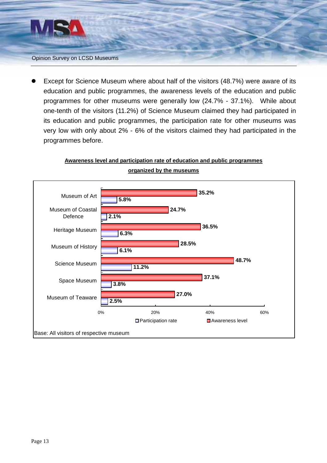

Except for Science Museum where about half of the visitors (48.7%) were aware of its education and public programmes, the awareness levels of the education and public programmes for other museums were generally low (24.7% - 37.1%). While about one-tenth of the visitors (11.2%) of Science Museum claimed they had participated in its education and public programmes, the participation rate for other museums was very low with only about 2% - 6% of the visitors claimed they had participated in the programmes before.

# **Awareness level and participation rate of education and public programmes**



**organized by the museums**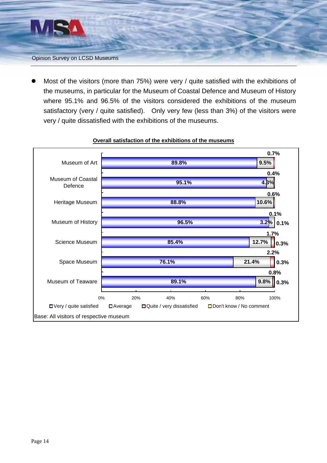

Most of the visitors (more than 75%) were very / quite satisfied with the exhibitions of the museums, in particular for the Museum of Coastal Defence and Museum of History where 95.1% and 96.5% of the visitors considered the exhibitions of the museum satisfactory (very / quite satisfied). Only very few (less than 3%) of the visitors were very / quite dissatisfied with the exhibitions of the museums.



#### **Overall satisfaction of the exhibitions of the museums**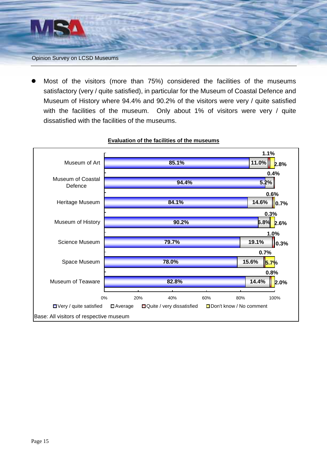

Most of the visitors (more than 75%) considered the facilities of the museums satisfactory (very / quite satisfied), in particular for the Museum of Coastal Defence and Museum of History where 94.4% and 90.2% of the visitors were very / quite satisfied with the facilities of the museum. Only about 1% of visitors were very / quite dissatisfied with the facilities of the museums.



#### **Evaluation of the facilities of the museums**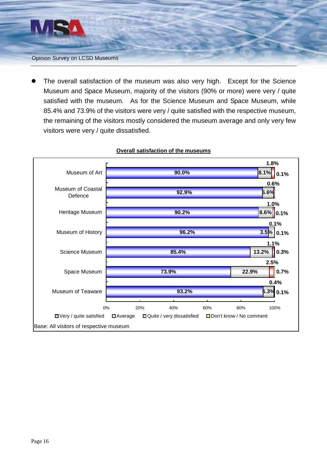

The overall satisfaction of the museum was also very high. Except for the Science Museum and Space Museum, majority of the visitors (90% or more) were very / quite satisfied with the museum. As for the Science Museum and Space Museum, while 85.4% and 73.9% of the visitors were very / quite satisfied with the respective museum, the remaining of the visitors mostly considered the museum average and only very few visitors were very / quite dissatisfied.



#### **Overall satisfaction of the museums**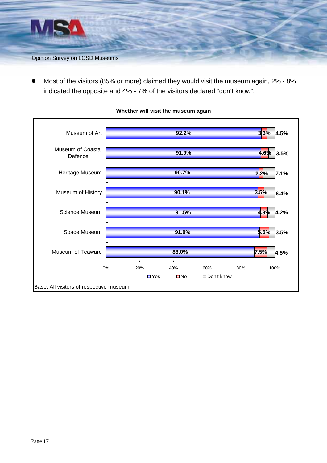

Most of the visitors (85% or more) claimed they would visit the museum again, 2% - 8% indicated the opposite and 4% - 7% of the visitors declared "don't know".



#### **Whether will visit the museum again**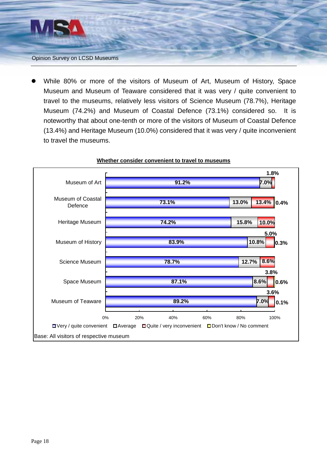

While 80% or more of the visitors of Museum of Art, Museum of History, Space Museum and Museum of Teaware considered that it was very / quite convenient to travel to the museums, relatively less visitors of Science Museum (78.7%), Heritage Museum (74.2%) and Museum of Coastal Defence (73.1%) considered so. It is noteworthy that about one-tenth or more of the visitors of Museum of Coastal Defence (13.4%) and Heritage Museum (10.0%) considered that it was very / quite inconvenient to travel the museums.



#### **Whether consider convenient to travel to museums**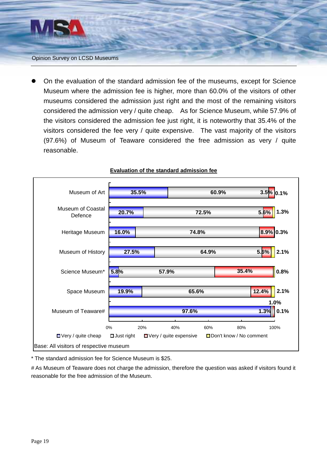

On the evaluation of the standard admission fee of the museums, except for Science Museum where the admission fee is higher, more than 60.0% of the visitors of other museums considered the admission just right and the most of the remaining visitors considered the admission very / quite cheap. As for Science Museum, while 57.9% of the visitors considered the admission fee just right, it is noteworthy that 35.4% of the visitors considered the fee very / quite expensive. The vast majority of the visitors (97.6%) of Museum of Teaware considered the free admission as very / quite reasonable.



#### **Evaluation of the standard admission fee**

\* The standard admission fee for Science Museum is \$25.

# As Museum of Teaware does not charge the admission, therefore the question was asked if visitors found it reasonable for the free admission of the Museum.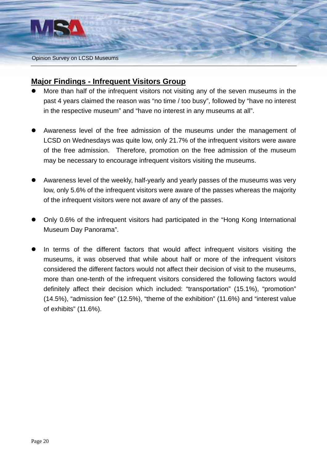

### **Major Findings - Infrequent Visitors Group**

- More than half of the infrequent visitors not visiting any of the seven museums in the past 4 years claimed the reason was "no time / too busy", followed by "have no interest in the respective museum" and "have no interest in any museums at all".
- Awareness level of the free admission of the museums under the management of LCSD on Wednesdays was quite low, only 21.7% of the infrequent visitors were aware of the free admission. Therefore, promotion on the free admission of the museum may be necessary to encourage infrequent visitors visiting the museums.
- Awareness level of the weekly, half-yearly and yearly passes of the museums was very low, only 5.6% of the infrequent visitors were aware of the passes whereas the majority of the infrequent visitors were not aware of any of the passes.
- Only 0.6% of the infrequent visitors had participated in the "Hong Kong International Museum Day Panorama".
- In terms of the different factors that would affect infrequent visitors visiting the museums, it was observed that while about half or more of the infrequent visitors considered the different factors would not affect their decision of visit to the museums, more than one-tenth of the infrequent visitors considered the following factors would definitely affect their decision which included: "transportation" (15.1%), "promotion" (14.5%), "admission fee" (12.5%), "theme of the exhibition" (11.6%) and "interest value of exhibits" (11.6%).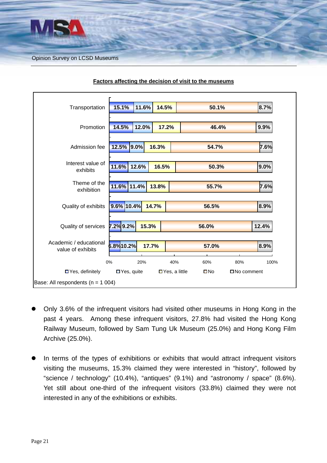

| Transportation                              | 11.6%<br>14.5%<br>15.1%                   | 50.1%                             | 8.7%  |  |  |
|---------------------------------------------|-------------------------------------------|-----------------------------------|-------|--|--|
| Promotion                                   | 14.5%<br>12.0%<br>17.2%                   | 46.4%                             | 9.9%  |  |  |
| Admission fee                               | 12.5% 9.0%<br>16.3%                       | 54.7%                             | 7.6%  |  |  |
| Interest value of<br>exhibits               | 11.6%<br>12.6%<br>16.5%                   | 50.3%                             | 9.0%  |  |  |
| Theme of the<br>exhibition                  | 11.6% 11.4%<br>13.8%                      | 55.7%                             | 7.6%  |  |  |
| Quality of exhibits                         | 9.6% 10.4%<br>14.7%                       | 56.5%                             | 8.9%  |  |  |
| Quality of services                         | 7.2% 9.2%<br>15.3%                        | 56.0%                             | 12.4% |  |  |
| Academic / educational<br>value of exhibits | $6.8\%$ 10.2%<br>17.7%                    | 57.0%                             | 8.9%  |  |  |
|                                             | 0%<br>20%<br>40%                          | 60%<br>80%                        | 100%  |  |  |
| $\blacksquare$ Yes, definitely              | $\Box$ Yes, quite<br>$\Box$ Yes, a little | $\square$ No<br>$\Box$ No comment |       |  |  |
| Base: All respondents ( $n = 1004$ )        |                                           |                                   |       |  |  |

#### **Factors affecting the decision of visit to the museums**

- Only 3.6% of the infrequent visitors had visited other museums in Hong Kong in the past 4 years. Among these infrequent visitors, 27.8% had visited the Hong Kong Railway Museum, followed by Sam Tung Uk Museum (25.0%) and Hong Kong Film Archive (25.0%).
- In terms of the types of exhibitions or exhibits that would attract infrequent visitors visiting the museums, 15.3% claimed they were interested in "history", followed by "science / technology" (10.4%), "antiques" (9.1%) and "astronomy / space" (8.6%). Yet still about one-third of the infrequent visitors (33.8%) claimed they were not interested in any of the exhibitions or exhibits.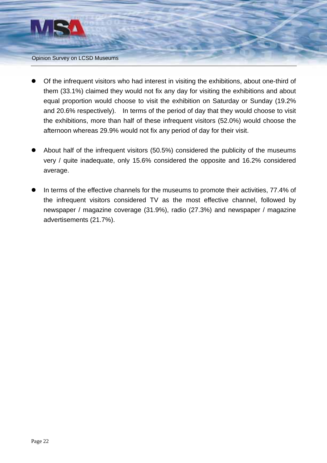

- Of the infrequent visitors who had interest in visiting the exhibitions, about one-third of them (33.1%) claimed they would not fix any day for visiting the exhibitions and about equal proportion would choose to visit the exhibition on Saturday or Sunday (19.2% and 20.6% respectively). In terms of the period of day that they would choose to visit the exhibitions, more than half of these infrequent visitors (52.0%) would choose the afternoon whereas 29.9% would not fix any period of day for their visit.
- About half of the infrequent visitors (50.5%) considered the publicity of the museums very / quite inadequate, only 15.6% considered the opposite and 16.2% considered average.
- In terms of the effective channels for the museums to promote their activities, 77.4% of the infrequent visitors considered TV as the most effective channel, followed by newspaper / magazine coverage (31.9%), radio (27.3%) and newspaper / magazine advertisements (21.7%).